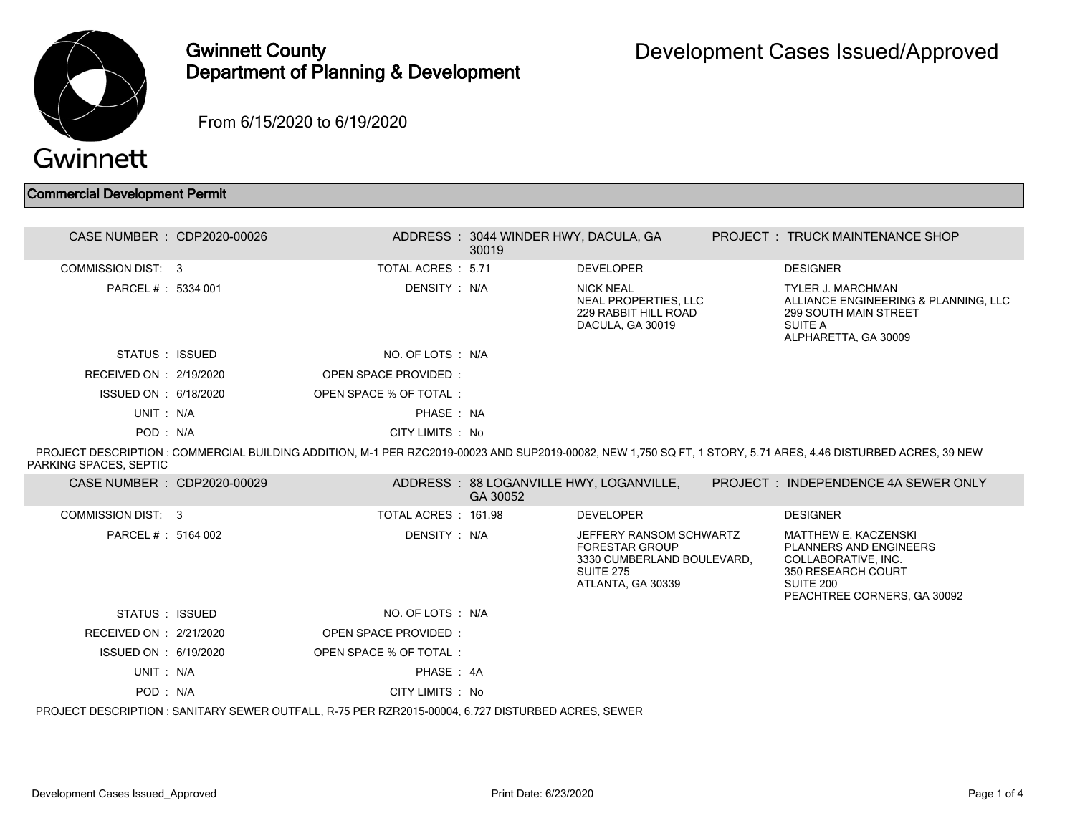

## Gwinnett County Department of Planning & Development

From 6/15/2020 to 6/19/2020

## Commercial Development Permit

| CASE NUMBER : CDP2020-00026 |                                                                                                    | ADDRESS: 3044 WINDER HWY, DACULA, GA<br>30019 |                                                                                                                         | <b>PROJECT : TRUCK MAINTENANCE SHOP</b>                                                                                                                        |
|-----------------------------|----------------------------------------------------------------------------------------------------|-----------------------------------------------|-------------------------------------------------------------------------------------------------------------------------|----------------------------------------------------------------------------------------------------------------------------------------------------------------|
| COMMISSION DIST: 3          | TOTAL ACRES: 5.71                                                                                  |                                               | <b>DEVELOPER</b>                                                                                                        | <b>DESIGNER</b>                                                                                                                                                |
| PARCEL #: 5334 001          | DENSITY: N/A                                                                                       |                                               | <b>NICK NEAL</b><br>NEAL PROPERTIES, LLC<br>229 RABBIT HILL ROAD<br>DACULA, GA 30019                                    | <b>TYLER J. MARCHMAN</b><br>ALLIANCE ENGINEERING & PLANNING, LLC<br><b>299 SOUTH MAIN STREET</b><br>SUITE A<br>ALPHARETTA, GA 30009                            |
| STATUS : ISSUED             | NO. OF LOTS : N/A                                                                                  |                                               |                                                                                                                         |                                                                                                                                                                |
| RECEIVED ON : 2/19/2020     | OPEN SPACE PROVIDED:                                                                               |                                               |                                                                                                                         |                                                                                                                                                                |
| ISSUED ON : 6/18/2020       | OPEN SPACE % OF TOTAL:                                                                             |                                               |                                                                                                                         |                                                                                                                                                                |
| UNIT: N/A                   | PHASE: NA                                                                                          |                                               |                                                                                                                         |                                                                                                                                                                |
| POD: N/A                    | CITY LIMITS : No                                                                                   |                                               |                                                                                                                         |                                                                                                                                                                |
| PARKING SPACES, SEPTIC      |                                                                                                    |                                               |                                                                                                                         | PROJECT DESCRIPTION : COMMERCIAL BUILDING ADDITION, M-1 PER RZC2019-00023 AND SUP2019-00082, NEW 1,750 SQ FT, 1 STORY, 5.71 ARES, 4.46 DISTURBED ACRES, 39 NEW |
| CASE NUMBER : CDP2020-00029 |                                                                                                    | GA 30052                                      | ADDRESS: 88 LOGANVILLE HWY, LOGANVILLE,                                                                                 | PROJECT: INDEPENDENCE 4A SEWER ONLY                                                                                                                            |
| COMMISSION DIST: 3          | TOTAL ACRES: 161.98                                                                                |                                               | <b>DEVELOPER</b>                                                                                                        | <b>DESIGNER</b>                                                                                                                                                |
| PARCEL # : 5164 002         | DENSITY: N/A                                                                                       |                                               | JEFFERY RANSOM SCHWARTZ<br><b>FORESTAR GROUP</b><br>3330 CUMBERLAND BOULEVARD,<br><b>SUITE 275</b><br>ATLANTA, GA 30339 | <b>MATTHEW E. KACZENSKI</b><br>PLANNERS AND ENGINEERS<br>COLLABORATIVE, INC.<br>350 RESEARCH COURT<br>SUITE 200<br>PEACHTREE CORNERS, GA 30092                 |
| STATUS : ISSUED             | NO. OF LOTS : N/A                                                                                  |                                               |                                                                                                                         |                                                                                                                                                                |
| RECEIVED ON : 2/21/2020     | OPEN SPACE PROVIDED:                                                                               |                                               |                                                                                                                         |                                                                                                                                                                |
| ISSUED ON : 6/19/2020       | OPEN SPACE % OF TOTAL:                                                                             |                                               |                                                                                                                         |                                                                                                                                                                |
| UNIT: N/A                   | PHASE: 4A                                                                                          |                                               |                                                                                                                         |                                                                                                                                                                |
| POD: N/A                    | CITY LIMITS : No                                                                                   |                                               |                                                                                                                         |                                                                                                                                                                |
|                             | PROJECT DESCRIPTION : SANITARY SEWER OUTFALL, R-75 PER RZR2015-00004, 6.727 DISTURBED ACRES, SEWER |                                               |                                                                                                                         |                                                                                                                                                                |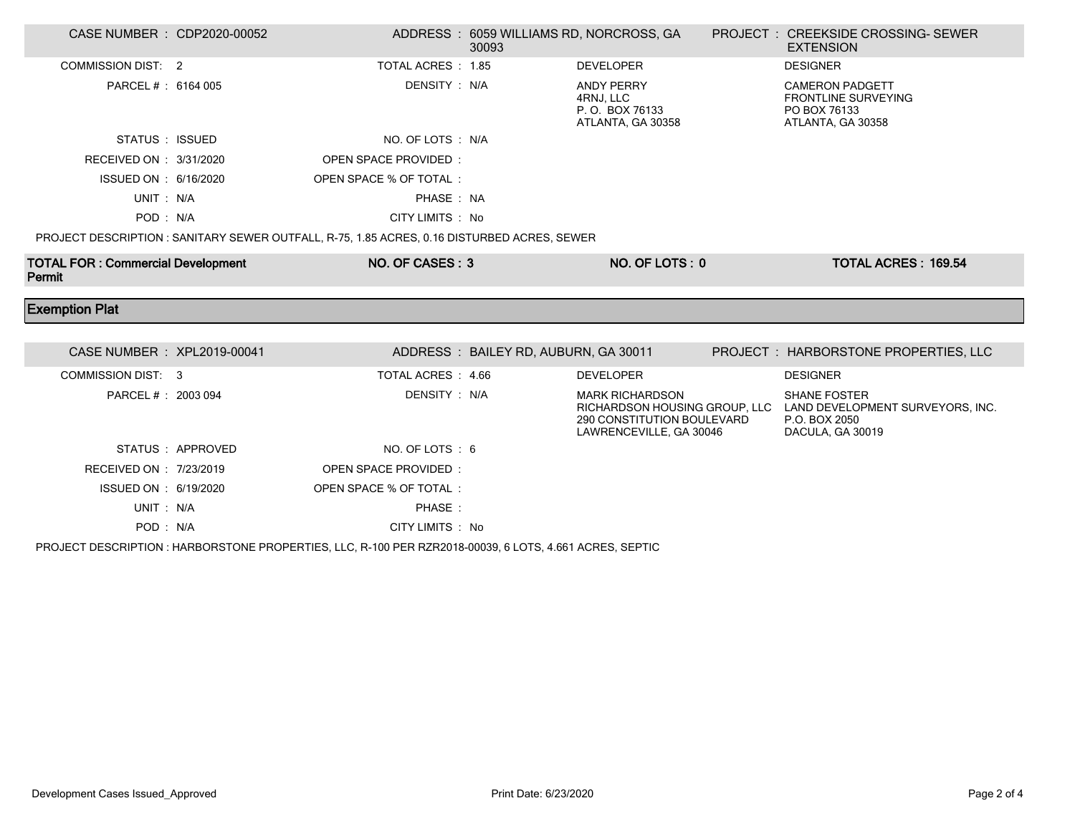| CASE NUMBER : CDP2020-00052              |                  |                                                                                             | 30093                                | ADDRESS : 6059 WILLIAMS RD, NORCROSS, GA                                        | <b>PROJECT : CREEKSIDE CROSSING-SEWER</b><br><b>EXTENSION</b>                                                              |
|------------------------------------------|------------------|---------------------------------------------------------------------------------------------|--------------------------------------|---------------------------------------------------------------------------------|----------------------------------------------------------------------------------------------------------------------------|
| <b>COMMISSION DIST: 2</b>                |                  | TOTAL ACRES: 1.85                                                                           |                                      | <b>DEVELOPER</b>                                                                | <b>DESIGNER</b>                                                                                                            |
| PARCEL # : 6164 005                      |                  | DENSITY : N/A                                                                               |                                      | <b>ANDY PERRY</b><br>4RNJ, LLC<br>P.O. BOX 76133<br>ATLANTA, GA 30358           | <b>CAMERON PADGETT</b><br><b>FRONTLINE SURVEYING</b><br>PO BOX 76133<br>ATLANTA, GA 30358                                  |
| STATUS : ISSUED                          |                  | NO. OF LOTS : N/A                                                                           |                                      |                                                                                 |                                                                                                                            |
| RECEIVED ON : 3/31/2020                  |                  | OPEN SPACE PROVIDED:                                                                        |                                      |                                                                                 |                                                                                                                            |
| ISSUED ON : 6/16/2020                    |                  | OPEN SPACE % OF TOTAL:                                                                      |                                      |                                                                                 |                                                                                                                            |
| UNIT: N/A                                |                  | PHASE: NA                                                                                   |                                      |                                                                                 |                                                                                                                            |
| POD: N/A                                 |                  | CITY LIMITS : No                                                                            |                                      |                                                                                 |                                                                                                                            |
|                                          |                  | PROJECT DESCRIPTION : SANITARY SEWER OUTFALL, R-75, 1.85 ACRES, 0.16 DISTURBED ACRES, SEWER |                                      |                                                                                 |                                                                                                                            |
| <b>TOTAL FOR: Commercial Development</b> |                  | NO. OF CASES: 3                                                                             |                                      | NO. OF LOTS: 0                                                                  | <b>TOTAL ACRES: 169.54</b>                                                                                                 |
| Permit                                   |                  |                                                                                             |                                      |                                                                                 |                                                                                                                            |
| <b>Exemption Plat</b>                    |                  |                                                                                             |                                      |                                                                                 |                                                                                                                            |
|                                          |                  |                                                                                             |                                      |                                                                                 |                                                                                                                            |
| CASE NUMBER : XPL2019-00041              |                  |                                                                                             | ADDRESS: BAILEY RD, AUBURN, GA 30011 |                                                                                 | PROJECT : HARBORSTONE PROPERTIES, LLC                                                                                      |
| <b>COMMISSION DIST: 3</b>                |                  | TOTAL ACRES : 4.66                                                                          |                                      | <b>DEVELOPER</b>                                                                | <b>DESIGNER</b>                                                                                                            |
| PARCEL # : 2003 094                      |                  | DENSITY : N/A                                                                               |                                      | <b>MARK RICHARDSON</b><br>290 CONSTITUTION BOULEVARD<br>LAWRENCEVILLE, GA 30046 | <b>SHANE FOSTER</b><br>RICHARDSON HOUSING GROUP, LLC LAND DEVELOPMENT SURVEYORS, INC.<br>P.O. BOX 2050<br>DACULA, GA 30019 |
|                                          | STATUS: APPROVED | NO. OF LOTS: 6                                                                              |                                      |                                                                                 |                                                                                                                            |
| RECEIVED ON : 7/23/2019                  |                  | <b>OPEN SPACE PROVIDED:</b>                                                                 |                                      |                                                                                 |                                                                                                                            |
| ISSUED ON : 6/19/2020                    |                  | OPEN SPACE % OF TOTAL:                                                                      |                                      |                                                                                 |                                                                                                                            |
| UNIT: N/A                                |                  | PHASE:                                                                                      |                                      |                                                                                 |                                                                                                                            |

PROJECT DESCRIPTION : HARBORSTONE PROPERTIES, LLC, R-100 PER RZR2018-00039, 6 LOTS, 4.661 ACRES, SEPTIC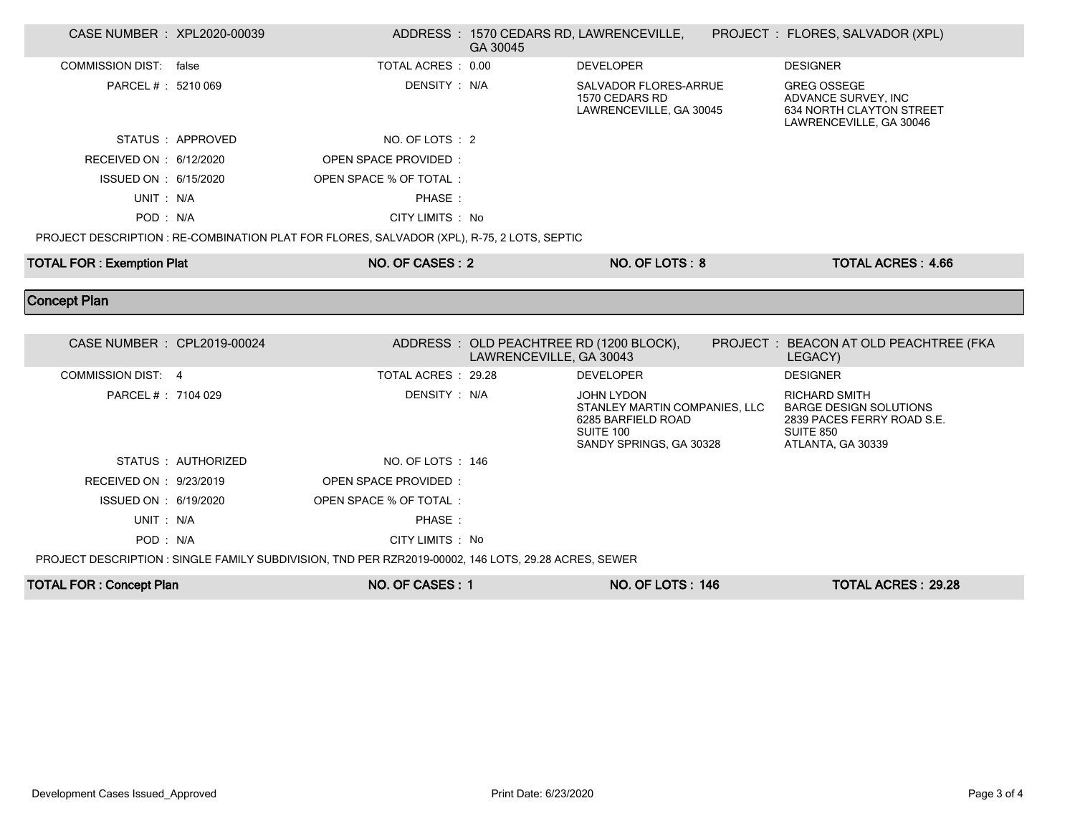| CASE NUMBER : XPL2020-00039      |                     |                                                                                            | GA 30045                                                           | ADDRESS: 1570 CEDARS RD, LAWRENCEVILLE,                                                                          | PROJECT : FLORES, SALVADOR (XPL)                                                                                             |  |
|----------------------------------|---------------------|--------------------------------------------------------------------------------------------|--------------------------------------------------------------------|------------------------------------------------------------------------------------------------------------------|------------------------------------------------------------------------------------------------------------------------------|--|
| COMMISSION DIST: false           |                     | TOTAL ACRES : 0.00                                                                         |                                                                    | <b>DEVELOPER</b>                                                                                                 | <b>DESIGNER</b>                                                                                                              |  |
| PARCEL # : 5210 069              |                     | DENSITY: N/A                                                                               |                                                                    | <b>SALVADOR FLORES-ARRUE</b><br>1570 CEDARS RD<br>LAWRENCEVILLE, GA 30045                                        | <b>GREG OSSEGE</b><br>ADVANCE SURVEY, INC<br>634 NORTH CLAYTON STREET<br>LAWRENCEVILLE, GA 30046                             |  |
|                                  | STATUS : APPROVED   | NO. OF LOTS : 2                                                                            |                                                                    |                                                                                                                  |                                                                                                                              |  |
| RECEIVED ON : 6/12/2020          |                     | OPEN SPACE PROVIDED:                                                                       |                                                                    |                                                                                                                  |                                                                                                                              |  |
| ISSUED ON : 6/15/2020            |                     | OPEN SPACE % OF TOTAL :                                                                    |                                                                    |                                                                                                                  |                                                                                                                              |  |
| UNIT: N/A                        |                     | PHASE:                                                                                     |                                                                    |                                                                                                                  |                                                                                                                              |  |
| POD: N/A                         |                     | CITY LIMITS : No                                                                           |                                                                    |                                                                                                                  |                                                                                                                              |  |
|                                  |                     | PROJECT DESCRIPTION : RE-COMBINATION PLAT FOR FLORES, SALVADOR (XPL), R-75, 2 LOTS, SEPTIC |                                                                    |                                                                                                                  |                                                                                                                              |  |
| <b>TOTAL FOR: Exemption Plat</b> |                     | NO. OF CASES: 2                                                                            |                                                                    | NO. OF LOTS: 8                                                                                                   | <b>TOTAL ACRES: 4.66</b>                                                                                                     |  |
|                                  |                     |                                                                                            |                                                                    |                                                                                                                  |                                                                                                                              |  |
|                                  |                     |                                                                                            |                                                                    |                                                                                                                  |                                                                                                                              |  |
| <b>Concept Plan</b>              |                     |                                                                                            |                                                                    |                                                                                                                  |                                                                                                                              |  |
| CASE NUMBER : CPL2019-00024      |                     |                                                                                            | ADDRESS: OLD PEACHTREE RD (1200 BLOCK),<br>LAWRENCEVILLE, GA 30043 |                                                                                                                  | PROJECT : BEACON AT OLD PEACHTREE (FKA<br>LEGACY)                                                                            |  |
| <b>COMMISSION DIST: 4</b>        |                     | TOTAL ACRES : 29.28                                                                        |                                                                    | <b>DEVELOPER</b>                                                                                                 | <b>DESIGNER</b>                                                                                                              |  |
| PARCEL #: 7104 029               |                     | DENSITY: N/A                                                                               |                                                                    | <b>JOHN LYDON</b><br>STANLEY MARTIN COMPANIES, LLC<br>6285 BARFIELD ROAD<br>SUITE 100<br>SANDY SPRINGS, GA 30328 | <b>RICHARD SMITH</b><br><b>BARGE DESIGN SOLUTIONS</b><br>2839 PACES FERRY ROAD S.E.<br><b>SUITE 850</b><br>ATLANTA, GA 30339 |  |
|                                  | STATUS : AUTHORIZED | NO. OF LOTS: 146                                                                           |                                                                    |                                                                                                                  |                                                                                                                              |  |
| RECEIVED ON : 9/23/2019          |                     | OPEN SPACE PROVIDED:                                                                       |                                                                    |                                                                                                                  |                                                                                                                              |  |
| ISSUED ON : 6/19/2020            |                     | OPEN SPACE % OF TOTAL:                                                                     |                                                                    |                                                                                                                  |                                                                                                                              |  |
| UNIT: N/A                        |                     | PHASE:                                                                                     |                                                                    |                                                                                                                  |                                                                                                                              |  |
| POD: N/A                         |                     | CITY LIMITS : No                                                                           |                                                                    |                                                                                                                  |                                                                                                                              |  |

| <b>TOTAL FOR: Concept Plan</b> | <b>NO. OF CASES:</b> | NO. OF LOTS : 146 | TOTAL ACRES : 29.28 |
|--------------------------------|----------------------|-------------------|---------------------|
|                                |                      |                   |                     |